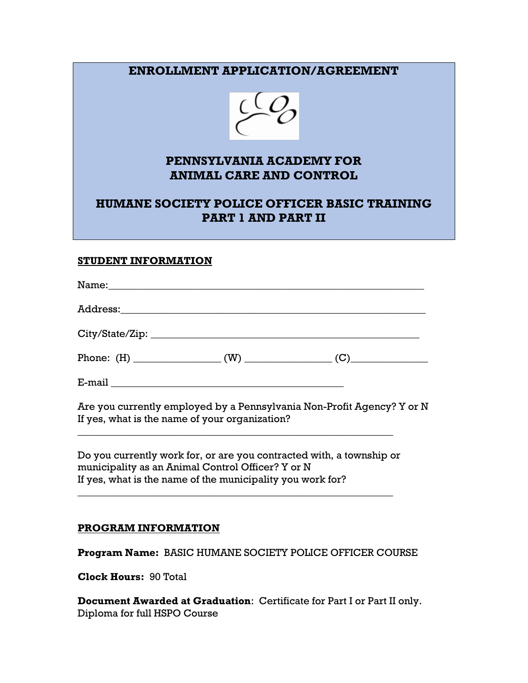## **ENROLLMENT APPLICATION/AGREEMENT**



### **PENNSYLVANIA ACADEMY FOR ANIMAL CARE AND CONTROL**

## **HUMANE SOCIETY POLICE OFFICER BASIC TRAINING PART 1 AND PART II**

#### **STUDENT INFORMATION**

|                                                                                                                                                             | Name: Name:                                                            |
|-------------------------------------------------------------------------------------------------------------------------------------------------------------|------------------------------------------------------------------------|
|                                                                                                                                                             |                                                                        |
|                                                                                                                                                             |                                                                        |
|                                                                                                                                                             |                                                                        |
| $E\text{-mail} \begin{tabular}{l} \hline \textbf{E}-\textbf{mail} & \textbf{I} & \textbf{I} & \textbf{I} & \textbf{I} & \textbf{I} \\ \hline \end{tabular}$ |                                                                        |
|                                                                                                                                                             | Are you currently employed by a Pennsylvania Non-Profit Agency? Y or N |

If yes, what is the name of your organization?

Do you currently work for, or are you contracted with, a township or municipality as an Animal Control Officer? Y or N If yes, what is the name of the municipality you work for?

\_\_\_\_\_\_\_\_\_\_\_\_\_\_\_\_\_\_\_\_\_\_\_\_\_\_\_\_\_\_\_\_\_\_\_\_\_\_\_\_\_\_\_\_\_\_\_\_\_\_\_\_\_\_\_\_\_\_\_\_\_

\_\_\_\_\_\_\_\_\_\_\_\_\_\_\_\_\_\_\_\_\_\_\_\_\_\_\_\_\_\_\_\_\_\_\_\_\_\_\_\_\_\_\_\_\_\_\_\_\_\_\_\_\_\_\_\_\_\_\_\_\_

#### **PROGRAM INFORMATION**

**Program Name:** BASIC HUMANE SOCIETY POLICE OFFICER COURSE

**Clock Hours:** 90 Total

**Document Awarded at Graduation**: Certificate for Part I or Part II only. Diploma for full HSPO Course